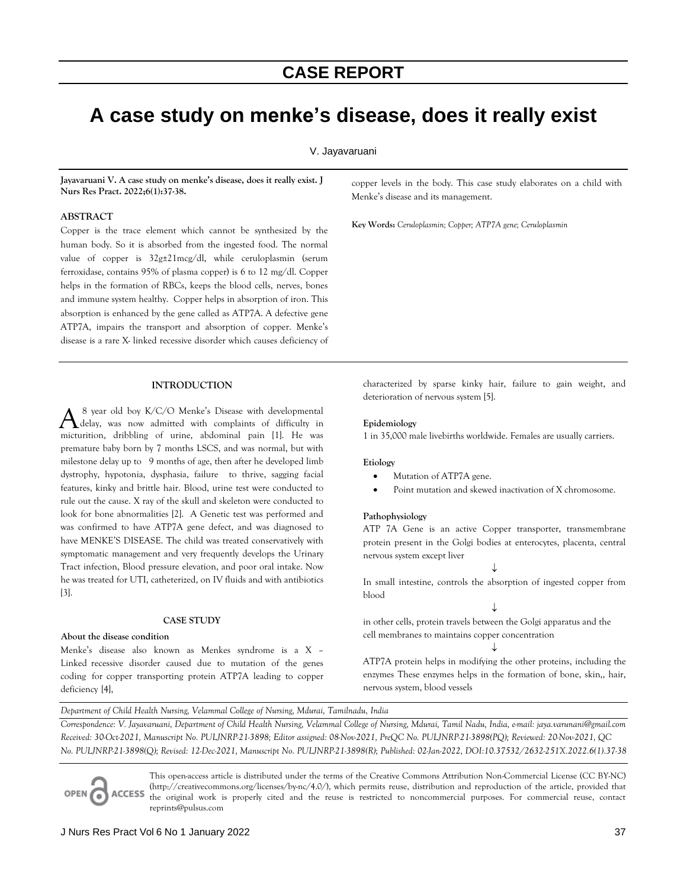# **A case study on menke's disease, does it really exist**

### V. Jayavaruani

**Jayavaruani V. A case study on menke's disease, does it really exist. J Nurs Res Pract. 2022;6(1):37-38.**

#### **ABSTRACT**

Copper is the trace element which cannot be synthesized by the human body. So it is absorbed from the ingested food. The normal value of copper is 32g±21mcg/dl, while ceruloplasmin (serum ferroxidase, contains 95% of plasma copper) is 6 to 12 mg/dl. Copper helps in the formation of RBCs, keeps the blood cells, nerves, bones and immune system healthy. Copper helps in absorption of iron. This absorption is enhanced by the gene called as ATP7A. A defective gene ATP7A, impairs the transport and absorption of copper. Menke's disease is a rare X- linked recessive disorder which causes deficiency of

## **INTRODUCTION**

A <sup>8</sup> year old boy K/C/O Menke's Disease with developmental delay, was now admitted with complaints of difficulty in micturition, dribbling of urine, abdominal pain [1]. He was premature baby born by 7 months LSCS, and was normal, but with milestone delay up to 9 months of age, then after he developed limb dystrophy, hypotonia, dysphasia, failure to thrive, sagging facial features, kinky and brittle hair. Blood, urine test were conducted to rule out the cause. X ray of the skull and skeleton were conducted to look for bone abnormalities [2]. A Genetic test was performed and was confirmed to have ATP7A gene defect, and was diagnosed to have MENKE'S DISEASE. The child was treated conservatively with symptomatic management and very frequently develops the Urinary Tract infection, Blood pressure elevation, and poor oral intake. Now he was treated for UTI, catheterized, on IV fluids and with antibiotics [3]. 8 year old boy K/C/O Menke's Disease with developmental delay, was now admitted with complaints of difficulty in

#### **CASE STUDY**

### **About the disease condition**

Menke's disease also known as Menkes syndrome is a X – Linked recessive disorder caused due to mutation of the genes coding for copper transporting protein ATP7A leading to copper deficiency [4],

copper levels in the body. This case study elaborates on a child with Menke's disease and its management.

**Key Words:** *Ceruloplasmin; Copper; ATP7A gene; Ceruloplasmin*

characterized by sparse kinky hair, failure to gain weight, and deterioration of nervous system [5].

#### **Epidemiology**

1 in 35,000 male livebirths worldwide. Females are usually carriers.

#### **Etiology**

- Mutation of ATP7A gene.
- Point mutation and skewed inactivation of X chromosome.

#### **Pathophysiology**

ATP 7A Gene is an active Copper transporter, transmembrane protein present in the Golgi bodies at enterocytes, placenta, central nervous system except liver

↓ In small intestine, controls the absorption of ingested copper from blood

#### ↓

in other cells, protein travels between the Golgi apparatus and the cell membranes to maintains copper concentration

ATP7A protein helps in modifying the other proteins, including the enzymes These enzymes helps in the formation of bone, skin,, hair, nervous system, blood vessels

↓

*Department of Child Health Nursing, Velammal College of Nursing, Mdurai, Tamilnadu, India* 

*Correspondence: V. Jayavaruani, Department of Child Health Nursing, Velammal College of Nursing, Mdurai, Tamil Nadu, India, e-mail: jaya.varunani@gmail.com Received: 30-Oct-2021, Manuscript No. PULJNRP-21-3898; Editor assigned: 08-Nov-2021, PreQC No. PULJNRP-21-3898(PQ); Reviewed: 20-Nov-2021, QC No. PULJNRP-21-3898(Q); Revised: 12-Dec-2021, Manuscript No. PULJNRP-21-3898(R); Published: 02-Jan-2022, DOI:10.37532/2632-251X.2022.6(1).37-38* 

This open-access article is distributed under the terms of the Creative Commons Attribution Non-Commercial License (CC BY-NC) (http://creativecommons.org/licenses/by-nc/4.0/), which permits reuse, distribution and reproduction of the article, provided that **ACCESS** the original work is properly cited and the reuse is restricted to noncommercial purposes. For commercial reuse, contact reprints@pulsus.com